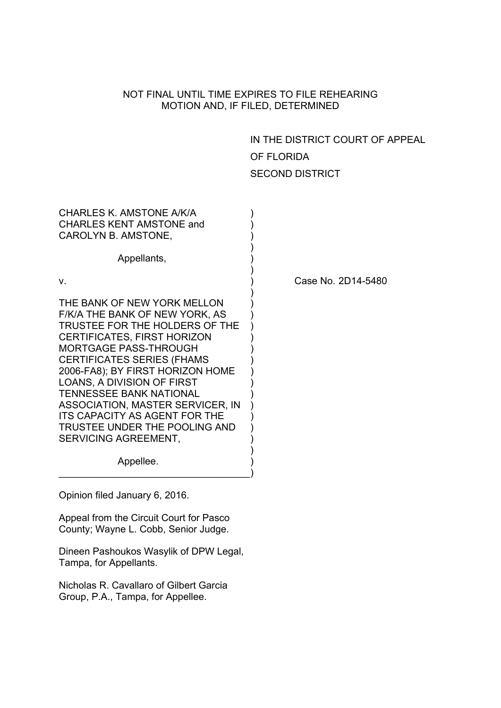## NOT FINAL UNTIL TIME EXPIRES TO FILE REHEARING MOTION AND, IF FILED, DETERMINED

IN THE DISTRICT COURT OF APPEAL OF FLORIDA SECOND DISTRICT

| CHARLES K. AMSTONE A/K/A<br><b>CHARLES KENT AMSTONE and</b><br>CAROLYN B. AMSTONE,                                                                                                                                                                                                                                                                                                                                                                                       |    |
|--------------------------------------------------------------------------------------------------------------------------------------------------------------------------------------------------------------------------------------------------------------------------------------------------------------------------------------------------------------------------------------------------------------------------------------------------------------------------|----|
| Appellants,                                                                                                                                                                                                                                                                                                                                                                                                                                                              |    |
| v.                                                                                                                                                                                                                                                                                                                                                                                                                                                                       | Cа |
| THE BANK OF NEW YORK MELLON<br>F/K/A THE BANK OF NEW YORK, AS<br>TRUSTEE FOR THE HOLDERS OF THE<br><b>CERTIFICATES, FIRST HORIZON</b><br><b>MORTGAGE PASS-THROUGH</b><br><b>CERTIFICATES SERIES (FHAMS</b><br>2006-FA8); BY FIRST HORIZON HOME<br><b>LOANS, A DIVISION OF FIRST</b><br><b>TENNESSEE BANK NATIONAL</b><br><b>ASSOCIATION, MASTER SERVICER, IN</b><br><b>ITS CAPACITY AS AGENT FOR THE</b><br>TRUSTEE UNDER THE POOLING AND<br><b>SERVICING AGREEMENT,</b> |    |
| Appellee.                                                                                                                                                                                                                                                                                                                                                                                                                                                                |    |

ase No. 2D14-5480

Opinion filed January 6, 2016.

Appeal from the Circuit Court for Pasco County; Wayne L. Cobb, Senior Judge.

Dineen Pashoukos Wasylik of DPW Legal, Tampa, for Appellants.

Nicholas R. Cavallaro of Gilbert Garcia Group, P.A., Tampa, for Appellee.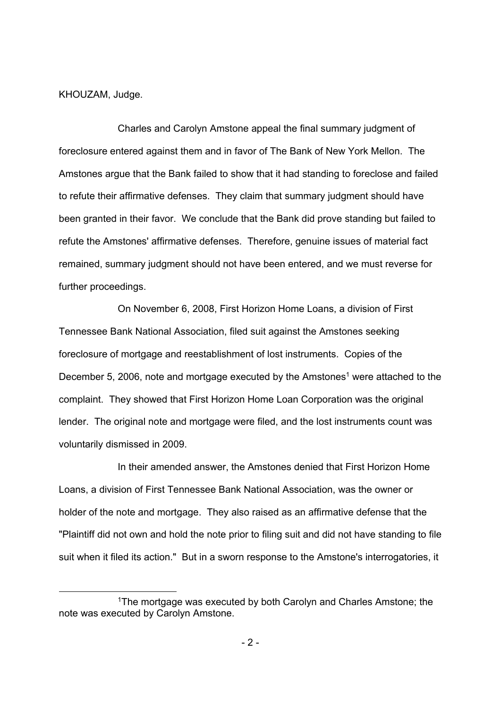KHOUZAM, Judge.

 Charles and Carolyn Amstone appeal the final summary judgment of foreclosure entered against them and in favor of The Bank of New York Mellon. The Amstones argue that the Bank failed to show that it had standing to foreclose and failed to refute their affirmative defenses. They claim that summary judgment should have been granted in their favor. We conclude that the Bank did prove standing but failed to refute the Amstones' affirmative defenses. Therefore, genuine issues of material fact remained, summary judgment should not have been entered, and we must reverse for further proceedings.

On November 6, 2008, First Horizon Home Loans, a division of First Tennessee Bank National Association, filed suit against the Amstones seeking foreclosure of mortgage and reestablishment of lost instruments. Copies of the December 5, 2006, note and mortgage executed by the Amstones<sup>1</sup> were attached to the complaint. They showed that First Horizon Home Loan Corporation was the original lender. The original note and mortgage were filed, and the lost instruments count was voluntarily dismissed in 2009.

In their amended answer, the Amstones denied that First Horizon Home Loans, a division of First Tennessee Bank National Association, was the owner or holder of the note and mortgage. They also raised as an affirmative defense that the "Plaintiff did not own and hold the note prior to filing suit and did not have standing to file suit when it filed its action." But in a sworn response to the Amstone's interrogatories, it

 <sup>1</sup>The mortgage was executed by both Carolyn and Charles Amstone; the note was executed by Carolyn Amstone.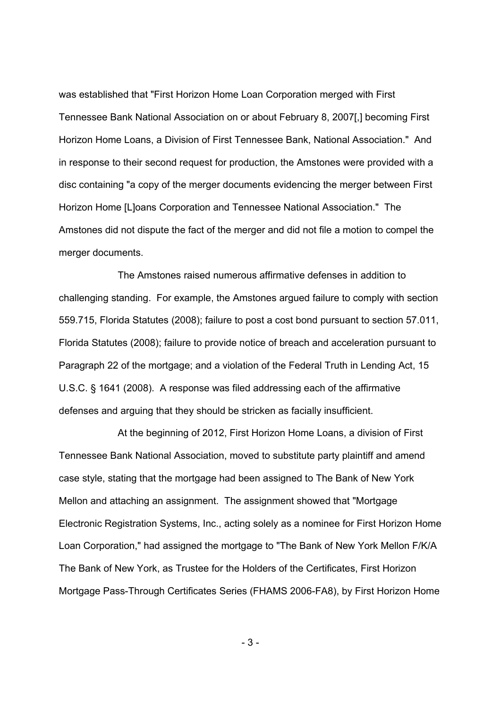was established that "First Horizon Home Loan Corporation merged with First Tennessee Bank National Association on or about February 8, 2007[,] becoming First Horizon Home Loans, a Division of First Tennessee Bank, National Association." And in response to their second request for production, the Amstones were provided with a disc containing "a copy of the merger documents evidencing the merger between First Horizon Home [L]oans Corporation and Tennessee National Association." The Amstones did not dispute the fact of the merger and did not file a motion to compel the merger documents.

The Amstones raised numerous affirmative defenses in addition to challenging standing. For example, the Amstones argued failure to comply with section 559.715, Florida Statutes (2008); failure to post a cost bond pursuant to section 57.011, Florida Statutes (2008); failure to provide notice of breach and acceleration pursuant to Paragraph 22 of the mortgage; and a violation of the Federal Truth in Lending Act, 15 U.S.C. § 1641 (2008). A response was filed addressing each of the affirmative defenses and arguing that they should be stricken as facially insufficient.

At the beginning of 2012, First Horizon Home Loans, a division of First Tennessee Bank National Association, moved to substitute party plaintiff and amend case style, stating that the mortgage had been assigned to The Bank of New York Mellon and attaching an assignment. The assignment showed that "Mortgage Electronic Registration Systems, Inc., acting solely as a nominee for First Horizon Home Loan Corporation," had assigned the mortgage to "The Bank of New York Mellon F/K/A The Bank of New York, as Trustee for the Holders of the Certificates, First Horizon Mortgage Pass-Through Certificates Series (FHAMS 2006-FA8), by First Horizon Home

- 3 -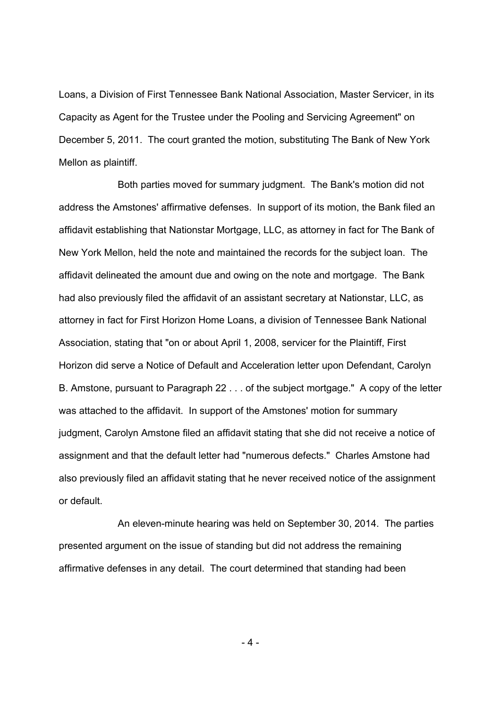Loans, a Division of First Tennessee Bank National Association, Master Servicer, in its Capacity as Agent for the Trustee under the Pooling and Servicing Agreement" on December 5, 2011. The court granted the motion, substituting The Bank of New York Mellon as plaintiff.

Both parties moved for summary judgment. The Bank's motion did not address the Amstones' affirmative defenses. In support of its motion, the Bank filed an affidavit establishing that Nationstar Mortgage, LLC, as attorney in fact for The Bank of New York Mellon, held the note and maintained the records for the subject loan. The affidavit delineated the amount due and owing on the note and mortgage. The Bank had also previously filed the affidavit of an assistant secretary at Nationstar, LLC, as attorney in fact for First Horizon Home Loans, a division of Tennessee Bank National Association, stating that "on or about April 1, 2008, servicer for the Plaintiff, First Horizon did serve a Notice of Default and Acceleration letter upon Defendant, Carolyn B. Amstone, pursuant to Paragraph 22 . . . of the subject mortgage." A copy of the letter was attached to the affidavit. In support of the Amstones' motion for summary judgment, Carolyn Amstone filed an affidavit stating that she did not receive a notice of assignment and that the default letter had "numerous defects." Charles Amstone had also previously filed an affidavit stating that he never received notice of the assignment or default.

An eleven-minute hearing was held on September 30, 2014. The parties presented argument on the issue of standing but did not address the remaining affirmative defenses in any detail. The court determined that standing had been

 $-4-$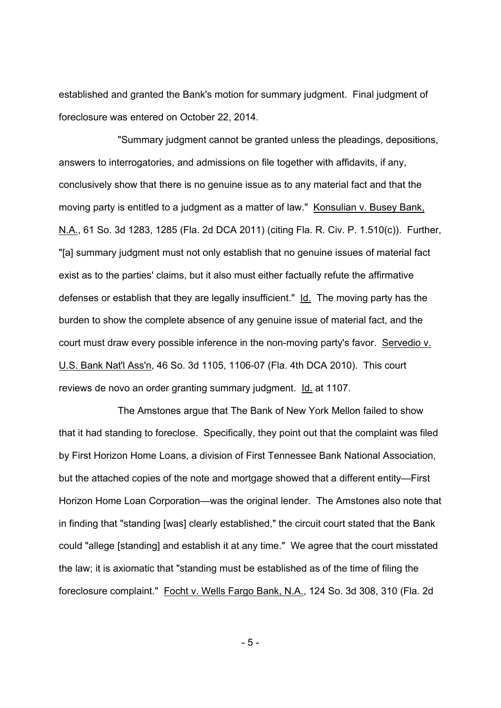established and granted the Bank's motion for summary judgment. Final judgment of foreclosure was entered on October 22, 2014.

"Summary judgment cannot be granted unless the pleadings, depositions, answers to interrogatories, and admissions on file together with affidavits, if any, conclusively show that there is no genuine issue as to any material fact and that the moving party is entitled to a judgment as a matter of law." Konsulian v. Busey Bank, N.A., 61 So. 3d 1283, 1285 (Fla. 2d DCA 2011) (citing Fla. R. Civ. P. 1.510(c)). Further, "[a] summary judgment must not only establish that no genuine issues of material fact exist as to the parties' claims, but it also must either factually refute the affirmative defenses or establish that they are legally insufficient." Id. The moving party has the burden to show the complete absence of any genuine issue of material fact, and the court must draw every possible inference in the non-moving party's favor. Servedio v. U.S. Bank Nat'l Ass'n, 46 So. 3d 1105, 1106-07 (Fla. 4th DCA 2010). This court reviews de novo an order granting summary judgment. Id. at 1107.

The Amstones argue that The Bank of New York Mellon failed to show that it had standing to foreclose. Specifically, they point out that the complaint was filed by First Horizon Home Loans, a division of First Tennessee Bank National Association, but the attached copies of the note and mortgage showed that a different entity—First Horizon Home Loan Corporation—was the original lender. The Amstones also note that in finding that "standing [was] clearly established," the circuit court stated that the Bank could "allege [standing] and establish it at any time." We agree that the court misstated the law; it is axiomatic that "standing must be established as of the time of filing the foreclosure complaint." Focht v. Wells Fargo Bank, N.A., 124 So. 3d 308, 310 (Fla. 2d

- 5 -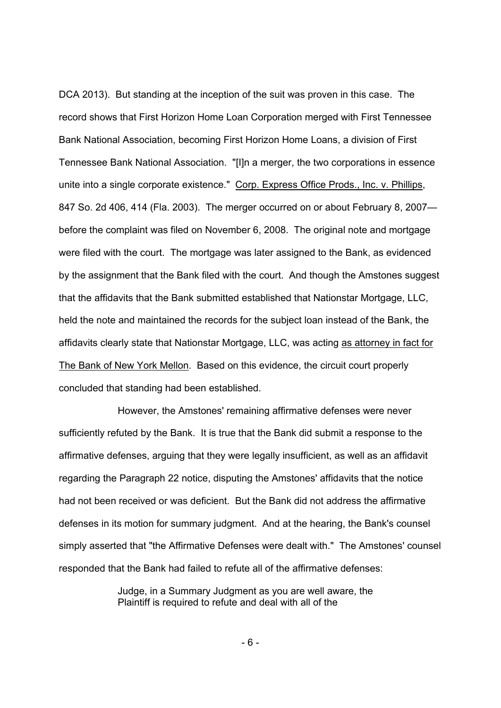DCA 2013). But standing at the inception of the suit was proven in this case. The record shows that First Horizon Home Loan Corporation merged with First Tennessee Bank National Association, becoming First Horizon Home Loans, a division of First Tennessee Bank National Association. "[I]n a merger, the two corporations in essence unite into a single corporate existence." Corp. Express Office Prods., Inc. v. Phillips, 847 So. 2d 406, 414 (Fla. 2003). The merger occurred on or about February 8, 2007 before the complaint was filed on November 6, 2008. The original note and mortgage were filed with the court. The mortgage was later assigned to the Bank, as evidenced by the assignment that the Bank filed with the court. And though the Amstones suggest that the affidavits that the Bank submitted established that Nationstar Mortgage, LLC, held the note and maintained the records for the subject loan instead of the Bank, the affidavits clearly state that Nationstar Mortgage, LLC, was acting as attorney in fact for The Bank of New York Mellon. Based on this evidence, the circuit court properly concluded that standing had been established.

However, the Amstones' remaining affirmative defenses were never sufficiently refuted by the Bank. It is true that the Bank did submit a response to the affirmative defenses, arguing that they were legally insufficient, as well as an affidavit regarding the Paragraph 22 notice, disputing the Amstones' affidavits that the notice had not been received or was deficient. But the Bank did not address the affirmative defenses in its motion for summary judgment. And at the hearing, the Bank's counsel simply asserted that "the Affirmative Defenses were dealt with." The Amstones' counsel responded that the Bank had failed to refute all of the affirmative defenses:

> Judge, in a Summary Judgment as you are well aware, the Plaintiff is required to refute and deal with all of the

> > - 6 -